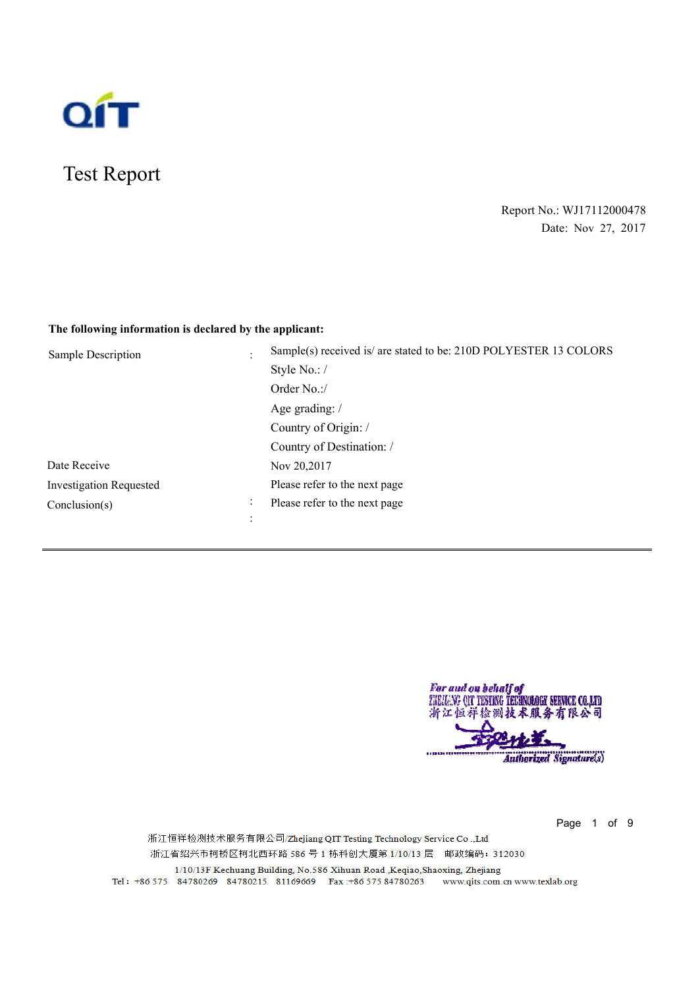

# Test Report

## Report No.: WJ17112000478 Date: Nov 27, 2017

## **The following information is declared by the applicant:**

| Sample Description             | Sample(s) received is/ are stated to be: 210D POLYESTER 13 COLORS |
|--------------------------------|-------------------------------------------------------------------|
|                                | Style No.:/                                                       |
|                                | Order No.:/                                                       |
|                                | Age grading: /                                                    |
|                                | Country of Origin: /                                              |
|                                | Country of Destination: /                                         |
| Date Receive                   | Nov 20,2017                                                       |
| <b>Investigation Requested</b> | Please refer to the next page                                     |
| Conclusion(s)<br>$\bullet$     | Please refer to the next page                                     |
|                                |                                                                   |

For and on behalf of<br>THENANG QIT TESTING TECHNOLOGY SERVICE CO.,LTD 浙江恒祥检测技术服务有限公司 Authorized Signature(s)

Page 1 of 9

浙江恒祥检测技术服务有限公司/Zhejiang QIT Testing Technology Service Co.,Ltd 浙江省绍兴市柯桥区柯北西环路 586 号 1 栋科创大厦第 1/10/13 层 邮政编码: 312030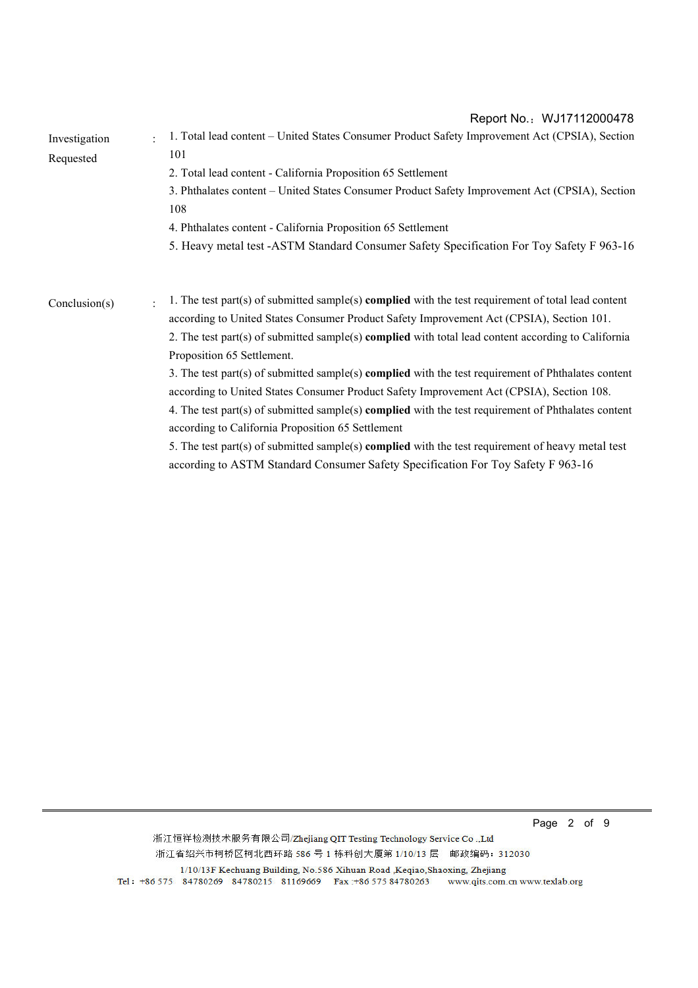Investigation Requested : 1. Total lead content – United States Consumer Product Safety Improvement Act (CPSIA), Section 101 2. Total lead content - California Proposition 65 Settlement 3. Phthalates content – United States Consumer Product Safety Improvement Act (CPSIA), Section 108 4. Phthalates content - California Proposition 65 Settlement 5. Heavy metal test -ASTM Standard Consumer Safety Specification For Toy Safety F 963-16 Conclusion(s)  $\qquad$ : 1. The test part(s) of submitted sample(s) **complied** with the test requirement of total lead content according to United States Consumer Product Safety Improvement Act (CPSIA), Section 101. 2. The test part(s) of submitted sample(s) **complied** with total lead content according to California Proposition 65 Settlement. 3. The test part(s) of submitted sample(s) **complied** with the test requirement of Phthalates content according to United States Consumer Product Safety Improvement Act (CPSIA), Section 108. 4. The test part(s) of submitted sample(s) **complied** with the test requirement of Phthalates content according to California Proposition 65 Settlement 5. The test part(s) of submitted sample(s) **complied** with the test requirement of heavy metal test according to ASTM Standard Consumer Safety Specification For Toy Safety F 963-16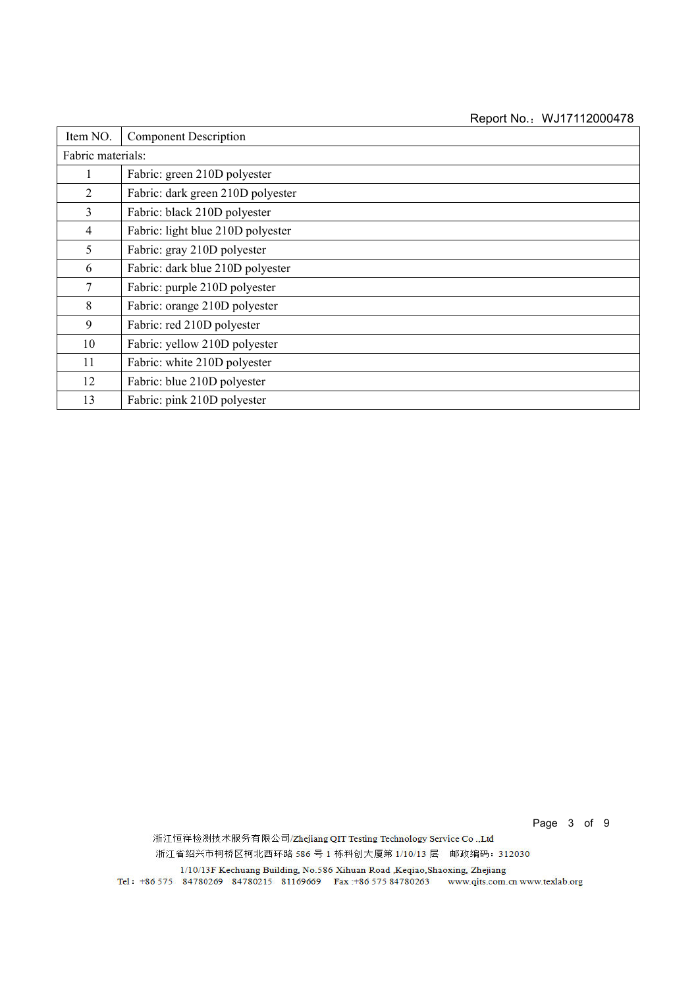| Item NO.          | <b>Component Description</b>      |
|-------------------|-----------------------------------|
| Fabric materials: |                                   |
|                   | Fabric: green 210D polyester      |
| $\overline{2}$    | Fabric: dark green 210D polyester |
| 3                 | Fabric: black 210D polyester      |
| 4                 | Fabric: light blue 210D polyester |
| 5                 | Fabric: gray 210D polyester       |
| 6                 | Fabric: dark blue 210D polyester  |
| 7                 | Fabric: purple 210D polyester     |
| 8                 | Fabric: orange 210D polyester     |
| 9                 | Fabric: red 210D polyester        |
| 10                | Fabric: yellow 210D polyester     |
| 11                | Fabric: white 210D polyester      |
| 12                | Fabric: blue 210D polyester       |
| 13                | Fabric: pink 210D polyester       |

Page 3 of 9

浙江恒祥检测技术服务有限公司/Zhejiang QIT Testing Technology Service Co.,Ltd 浙江省绍兴市柯桥区柯北西环路 586 号 1 栋科创大厦第 1/10/13 层 邮政编码: 312030

 $1/10/13\text{F}\text{ Kechuang Building, No.586 Xihuan Road, Keqiao, Shaoxing, Zhejiang}\\ \text{Tel}:~+86~575~~84780269~~84780215~~81169669~~\text{Fax}:+86~575~84780263~~\text{www.qtts.com}.\text{cn}~\text{www.textlab.org}$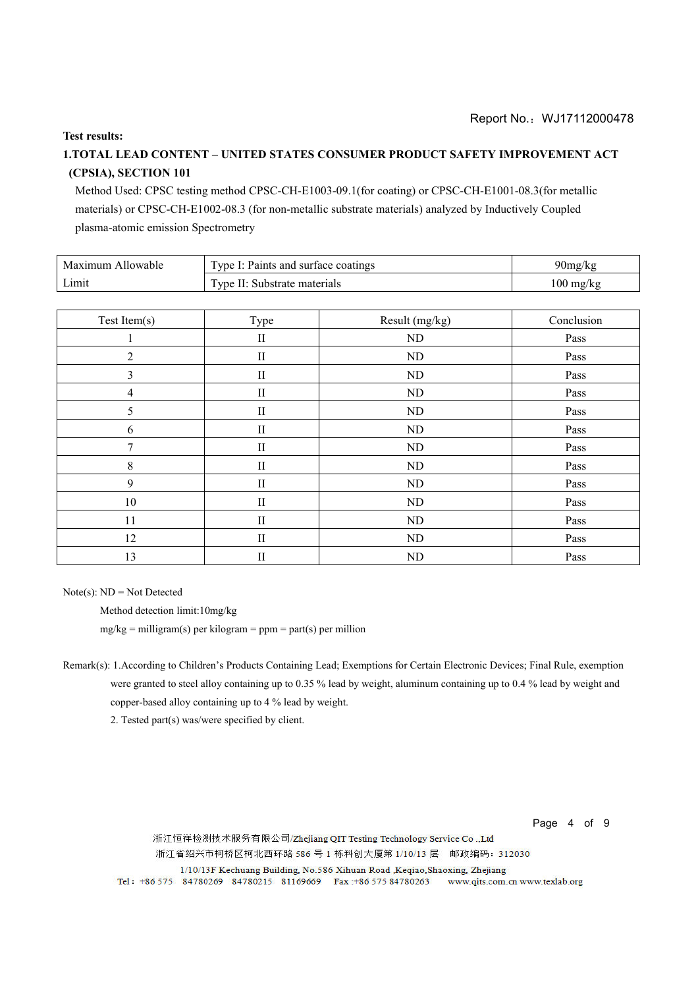#### **Test results:**

## **1.TOTAL LEAD CONTENT – UNITED STATES CONSUMER PRODUCT SAFETY IMPROVEMENT ACT (CPSIA), SECTION 101**

Method Used: CPSC testing method CPSC-CH-E1003-09.1(for coating) or CPSC-CH-E1001-08.3(for metallic materials) or CPSC-CH-E1002-08.3 (for non-metallic substrate materials) analyzed by Inductively Coupled plasma-atomic emission Spectrometry

| Maximum Allowable | Type I: Paints and surface coatings | 90mg/kg             |
|-------------------|-------------------------------------|---------------------|
| Limit             | Type II: Substrate materials        | $100 \text{ mg/kg}$ |

| Test Item(s)   | Type                       | Result (mg/kg) | Conclusion |
|----------------|----------------------------|----------------|------------|
|                | $\rm II$                   | $\rm ND$       | Pass       |
| $\overline{2}$ | $\rm II$                   | ND             | Pass       |
| 3              | $\rm II$                   | ND             | Pass       |
| 4              | $\mathbf{I}$               | ND             | Pass       |
| 5              | $\mathop{\rm II}\nolimits$ | ND             | Pass       |
| 6              | $\mathop{\rm II}\nolimits$ | ND             | Pass       |
| 7              | $\mathop{\rm II}\nolimits$ | ND             | Pass       |
| 8              | $\mathbf{I}$               | ND             | Pass       |
| 9              | $\mathop{\rm II}\nolimits$ | <b>ND</b>      | Pass       |
| 10             | $\rm II$                   | ${\rm ND}$     | Pass       |
| 11             | $\mathop{\rm II}\nolimits$ | ND             | Pass       |
| 12             | $\mathop{\rm II}\nolimits$ | <b>ND</b>      | Pass       |
| 13             | $\mathop{\rm II}\nolimits$ | ND             | Pass       |

Note(s):  $ND = Not$  Detected

Method detection limit:10mg/kg

 $mg/kg =$  milligram(s) per kilogram = ppm = part(s) per million

2. Tested part(s) was/were specified by client.

Page 4 of 9

浙江恒祥检测技术服务有限公司/Zhejiang QIT Testing Technology Service Co.,Ltd 浙江省绍兴市柯桥区柯北西环路 586 号 1 栋科创大厦第 1/10/13 层 邮政编码: 312030

Remark(s): 1.According to Children's Products Containing Lead; Exemptions for Certain Electronic Devices; Final Rule, exemption were granted to steel alloy containing up to 0.35 % lead by weight, aluminum containing up to 0.4 % lead by weight and copper-based alloy containing up to 4 % lead by weight.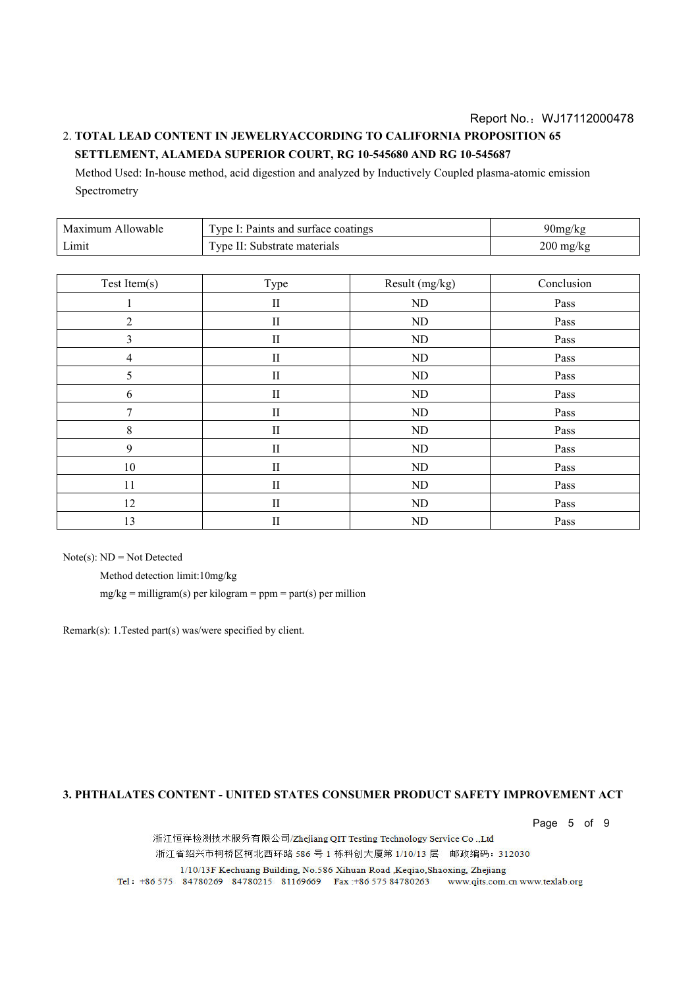### Report No.: WJ17112000478 2. **TOTAL LEAD CONTENT IN JEWELRYACCORDING TO CALIFORNIA PROPOSITION 65 SETTLEMENT, ALAMEDA SUPERIOR COURT, RG 10-545680 AND RG 10-545687**

Method Used: In-house method, acid digestion and analyzed by Inductively Coupled plasma-atomic emission Spectrometry

| Maximum Allowable | Type I: Paints and surface coatings | 90mg/kg                           |
|-------------------|-------------------------------------|-----------------------------------|
| Limit             | Type II: Substrate materials        | $200 \frac{\text{mg}}{\text{kg}}$ |

| Test Item(s)   | Type         | Result (mg/kg) | Conclusion |  |  |
|----------------|--------------|----------------|------------|--|--|
|                | $\;$ II      | $\rm ND$       | Pass       |  |  |
| $\overline{2}$ | $\mathbf{I}$ | $\rm ND$       | Pass       |  |  |
| 3              | $\;$ II      | ND             | Pass       |  |  |
| 4              | $\mathbf{I}$ | ND             | Pass       |  |  |
| 5              | $\mathbf{I}$ | ND             | Pass       |  |  |
| 6              | $\rm II$     | $\rm ND$       | Pass       |  |  |
| 7              | $\rm II$     | ND             | Pass       |  |  |
| 8              | $\mathbf{I}$ | ND             | Pass       |  |  |
| 9              | $\mathbf{I}$ | $\rm ND$       | Pass       |  |  |
| 10             | $\mathbf{I}$ | ND             | Pass       |  |  |
| 11             | $\rm II$     | ND             | Pass       |  |  |
| 12             | $\;$ II      | ND             | Pass       |  |  |
| 13             | $\;$ II      | ND             | Pass       |  |  |

 $Note(s)$ :  $ND = Not$  Detected

Method detection limit:10mg/kg

 $mg/kg =$  milligram(s) per kilogram = ppm = part(s) per million

Remark(s): 1.Tested part(s) was/were specified by client.

#### **3. PHTHALATES CONTENT - UNITED STATES CONSUMER PRODUCT SAFETY IMPROVEMENT ACT**

Page 5 of 9

浙江恒祥检测技术服务有限公司/Zhejiang QIT Testing Technology Service Co.,Ltd 浙江省绍兴市柯桥区柯北西环路 586 号 1 栋科创大厦第 1/10/13 层 邮政编码: 312030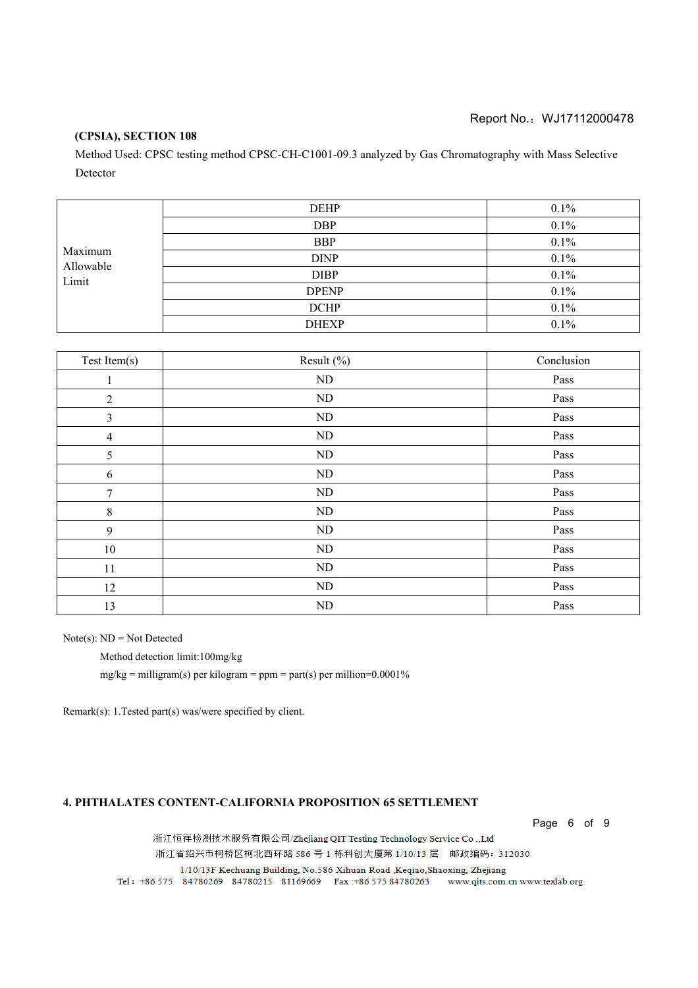#### **(CPSIA), SECTION 108**

Method Used: CPSC testing method CPSC-CH-C1001-09.3 analyzed by Gas Chromatography with Mass Selective Detector

| Maximum<br>Allowable<br>Limit | <b>DEHP</b>  | 0.1%    |
|-------------------------------|--------------|---------|
|                               | <b>DBP</b>   | $0.1\%$ |
|                               | <b>BBP</b>   | $0.1\%$ |
|                               | <b>DINP</b>  | 0.1%    |
|                               | <b>DIBP</b>  | 0.1%    |
|                               | <b>DPENP</b> | $0.1\%$ |
|                               | <b>DCHP</b>  | 0.1%    |
|                               | <b>DHEXP</b> | 0.1%    |

| Test Item(s)   | Result $(\% )$ | Conclusion |
|----------------|----------------|------------|
| $\mathbf{1}$   | ND             | Pass       |
| $\overline{2}$ | ND             | Pass       |
| $\mathfrak{Z}$ | ND             | Pass       |
| $\overline{4}$ | $\rm ND$       | Pass       |
| 5              | ND             | Pass       |
| 6              | $\rm ND$       | Pass       |
| 7              | ND             | Pass       |
| $\,8\,$        | ND             | Pass       |
| $\overline{9}$ | $\rm ND$       | Pass       |
| $10\,$         | ND             | Pass       |
| 11             | ND             | Pass       |
| 12             | ND             | Pass       |
| 13             | ND             | Pass       |

Note(s):  $ND = Not$  Detected

Method detection limit:100mg/kg

 $mg/kg =$  milligram(s) per kilogram = ppm = part(s) per million=0.0001%

Remark(s): 1.Tested part(s) was/were specified by client.

#### **4. PHTHALATES CONTENT-CALIFORNIA PROPOSITION 65 SETTLEMENT**

Page 6 of 9

浙江恒祥检测技术服务有限公司/Zhejiang QIT Testing Technology Service Co.,Ltd 浙江省绍兴市柯桥区柯北西环路 586 号 1 栋科创大厦第 1/10/13 层 邮政编码: 312030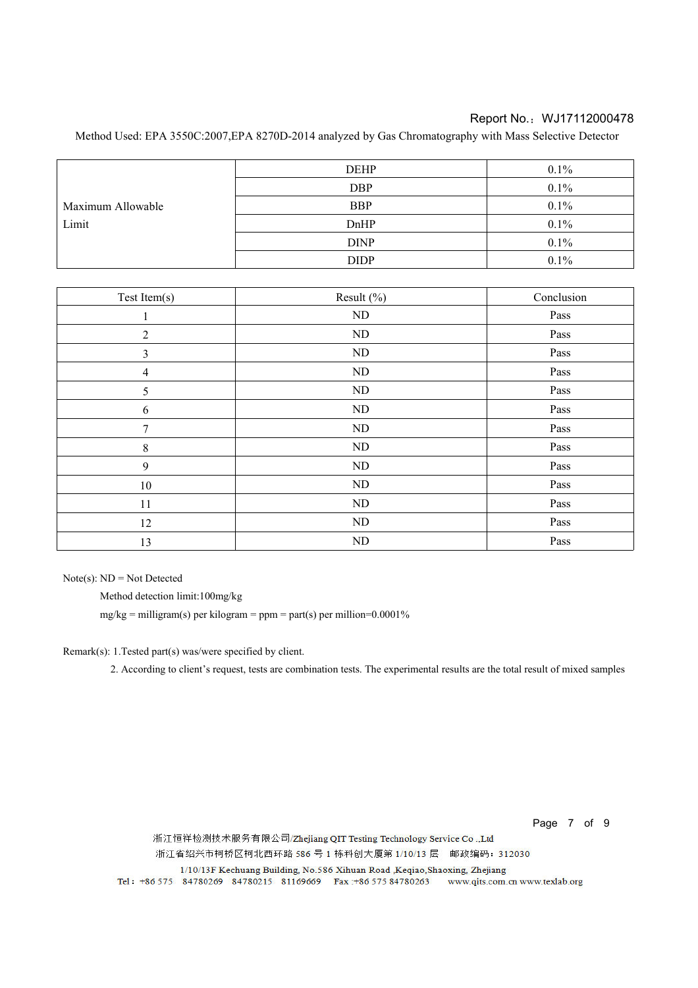Method Used: EPA 3550C:2007,EPA 8270D-2014 analyzed by Gas Chromatography with Mass Selective Detector

|                   | <b>DEHP</b> | 0.1%    |
|-------------------|-------------|---------|
|                   | <b>DBP</b>  | $0.1\%$ |
| Maximum Allowable | <b>BBP</b>  | $0.1\%$ |
| Limit             | DnHP        | $0.1\%$ |
|                   | <b>DINP</b> | 0.1%    |
|                   | <b>DIDP</b> | 0.1%    |

| Test Item(s)   | Result (%) | Conclusion |
|----------------|------------|------------|
|                | ND         | Pass       |
| $\overline{2}$ | ND         | Pass       |
| 3              | ND         | Pass       |
| 4              | ND         | Pass       |
| 5              | $\rm ND$   | Pass       |
| 6              | ND         | Pass       |
| 7              | ND         | Pass       |
| 8              | $\rm ND$   | Pass       |
| 9              | ND         | Pass       |
| $10\,$         | $\rm ND$   | Pass       |
| 11             | ND         | Pass       |
| 12             | ND         | Pass       |
| 13             | $\rm ND$   | Pass       |

 $Note(s)$ :  $ND = Not$  Detected

Method detection limit:100mg/kg

mg/kg = milligram(s) per kilogram = ppm = part(s) per million= $0.0001\%$ 

Remark(s): 1.Tested part(s) was/were specified by client.

2. According to client's request, tests are combination tests. The experimental results are the total result of mixed samples

Page 7 of 9

浙江恒祥检测技术服务有限公司/Zhejiang QIT Testing Technology Service Co.,Ltd 浙江省绍兴市柯桥区柯北西环路 586 号 1 栋科创大厦第 1/10/13 层 邮政编码: 312030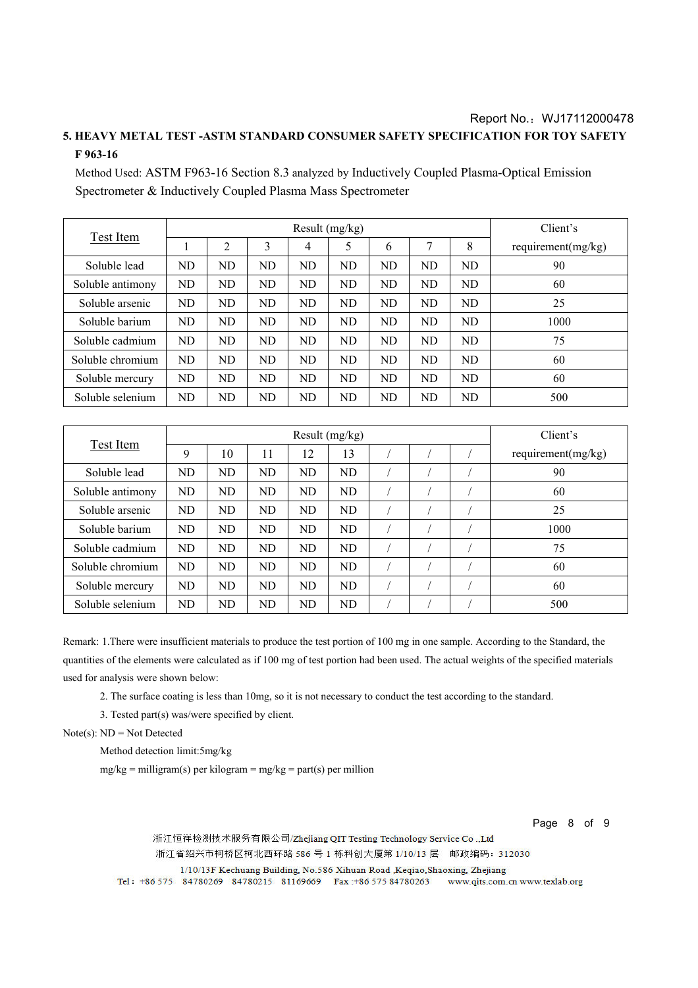## **5. HEAVY METAL TEST -ASTM STANDARD CONSUMER SAFETY SPECIFICATION FOR TOY SAFETY F 963-16**

Method Used: ASTM F963-16 Section 8.3 analyzed by Inductively Coupled Plasma-Optical Emission Spectrometer & Inductively Coupled Plasma Mass Spectrometer

|                  | Result $(mg/kg)$ |    |           |    |           |           |    | Client's  |                       |
|------------------|------------------|----|-----------|----|-----------|-----------|----|-----------|-----------------------|
| Test Item        |                  | 2  | 3         | 4  | 5         | 6         | ┑  | 8         | requirement $(mg/kg)$ |
| Soluble lead     | ND               | ND | ND        | ND | <b>ND</b> | ND        | ND | <b>ND</b> | 90                    |
| Soluble antimony | <b>ND</b>        | ND | ND        | ND | ND.       | ND        | ND | ND.       | 60                    |
| Soluble arsenic  | ND               | ND | ND        | ND | ND        | ND        | ND | ND        | 25                    |
| Soluble barium   | <b>ND</b>        | ND | ND        | ND | ND        | <b>ND</b> | ND | ND        | 1000                  |
| Soluble cadmium  | ND               | ND | ND        | ND | ND        | ND        | ND | ND        | 75                    |
| Soluble chromium | ND               | ND | ND        | ND | ND        | ND        | ND | ND        | 60                    |
| Soluble mercury  | ND               | ND | <b>ND</b> | ND | <b>ND</b> | <b>ND</b> | ND | <b>ND</b> | 60                    |
| Soluble selenium | ND               | ND | ND        | ND | ND        | ND        | ND | ND        | 500                   |

|                  | Result $(mg/kg)$ |    |           |    |           |  |  | Client's |                       |
|------------------|------------------|----|-----------|----|-----------|--|--|----------|-----------------------|
| Test Item        | 9                | 10 | 11        | 12 | 13        |  |  |          | requirement $(mg/kg)$ |
| Soluble lead     | <b>ND</b>        | ND | ND        | ND | ND        |  |  |          | 90                    |
| Soluble antimony | ND               | ND | ND.       | ND | ND        |  |  |          | 60                    |
| Soluble arsenic  | ND               | ND | ND        | ND | ND        |  |  |          | 25                    |
| Soluble barium   | ND               | ND | ND        | ND | <b>ND</b> |  |  |          | 1000                  |
| Soluble cadmium  | ND               | ND | <b>ND</b> | ND | ND        |  |  |          | 75                    |
| Soluble chromium | ND               | ND | <b>ND</b> | ND | ND        |  |  |          | 60                    |
| Soluble mercury  | ND               | ND | <b>ND</b> | ND | ND        |  |  |          | 60                    |
| Soluble selenium | ND               | ND | ND        | ND | ND        |  |  |          | 500                   |

Remark: 1.There were insufficient materials to produce the test portion of 100 mg in one sample. According to the Standard, the quantities of the elements were calculated as if 100 mg of test portion had been used. The actual weights of the specified materials used for analysis were shown below:

2. The surface coating is less than 10mg, so it is not necessary to conduct the test according to the standard.

3. Tested part(s) was/were specified by client.

Note(s):  $ND = Not$  Detected

Method detection limit:5mg/kg

 $mg/kg =$  milligram(s) per kilogram = mg/kg = part(s) per million

Page 8 of 9

浙江恒祥检测技术服务有限公司/Zhejiang QIT Testing Technology Service Co.,Ltd 浙江省绍兴市柯桥区柯北西环路 586 号 1 栋科创大厦第 1/10/13 层 邮政编码: 312030